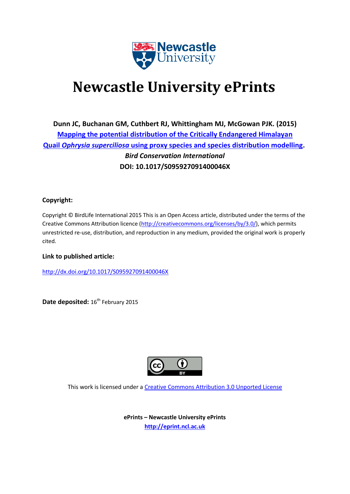

# **Newcastle University ePrints**

**Dunn JC, Buchanan GM, Cuthbert RJ, Whittingham MJ, McGowan PJK. (2015) [Mapping the potential distribution of the Critically Endangered Himalayan](javascript:ViewPublication(210676);)  Quail** *Ophrysia superciliosa* **[using proxy species and species distribution modelling.](javascript:ViewPublication(210676);)** *Bird Conservation International* **DOI: 10.1017/S095927091400046X**

### **Copyright:**

Copyright © BirdLife International 2015 This is an Open Access article, distributed under the terms of the Creative Commons Attribution licence [\(http://creativecommons.org/licenses/by/3.0/\)](http://creativecommons.org/licenses/by/3.0/), which permits unrestricted re-use, distribution, and reproduction in any medium, provided the original work is properly cited.

**Link to published article:**

<http://dx.doi.org/10.1017/S095927091400046X>

Date deposited: 16<sup>th</sup> February 2015



This work is licensed under a [Creative Commons Attribution 3.0 Unported License](http://creativecommons.org/licenses/by/3.0/)

**ePrints – Newcastle University ePrints [http://eprint.ncl.ac.uk](http://eprint.ncl.ac.uk/)**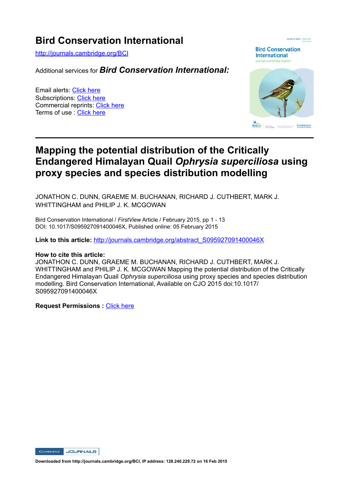## **Bird Conservation International**

http://journals.cambridge.org/BCI

Additional services for *Bird Conservation International:*

Email alerts: Click here Subscriptions: Click here Commercial reprints: Click here Terms of use : Click here



## **Mapping the potential distribution of the Critically Endangered Himalayan Quail** *Ophrysia superciliosa* **using proxy species and species distribution modelling**

JONATHON C. DUNN, GRAEME M. BUCHANAN, RICHARD J. CUTHBERT, MARK J. WHITTINGHAM and PHILIP J. K. MCGOWAN

Bird Conservation International / *FirstView* Article / February 2015, pp 1 - 13 DOI: 10.1017/S095927091400046X, Published online: 05 February 2015

**Link to this article:** http://journals.cambridge.org/abstract\_S095927091400046X

#### **How to cite this article:**

JONATHON C. DUNN, GRAEME M. BUCHANAN, RICHARD J. CUTHBERT, MARK J. WHITTINGHAM and PHILIP J. K. MCGOWAN Mapping the potential distribution of the Critically Endangered Himalayan Quail *Ophrysia superciliosa* using proxy species and species distribution modelling. Bird Conservation International, Available on CJO 2015 doi:10.1017/ S095927091400046X

**Request Permissions :** Click here

**CAMBRIDGE JOURNALS** 

**Downloaded from http://journals.cambridge.org/BCI, IP address: 128.240.229.72 on 16 Feb 2015**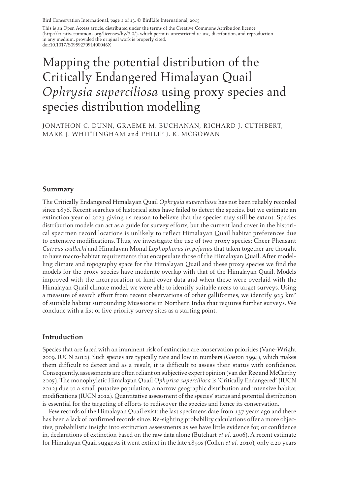This is an Open Access article, distributed under the terms of the Creative Commons Attribution licence (http://creativecommons.org/licenses/by/3.0/), which permits unrestricted re-use, distribution, and reproduction in any medium, provided the original work is properly cited. doi:10.1017/S095927091400046X

## Mapping the potential distribution of the Critically Endangered Himalayan Quail *Ophrysia superciliosa* using proxy species and species distribution modelling

JONATHON C. DUNN, GRAEME M. BUCHANAN, RICHARD J. CUTHBERT, MARK J. WHITTINGHAM and PHILIP J. K. MCGOWAN

#### **Summary**

 The Critically Endangered Himalayan Quail *Ophrysia superciliosa* has not been reliably recorded since 1876. Recent searches of historical sites have failed to detect the species, but we estimate an extinction year of 2023 giving us reason to believe that the species may still be extant. Species distribution models can act as a guide for survey efforts, but the current land cover in the historical specimen record locations is unlikely to reflect Himalayan Quail habitat preferences due to extensive modifications. Thus, we investigate the use of two proxy species: Cheer Pheasant *Catreus wallechi* and Himalayan Monal *Lophophorus impejanus* that taken together are thought to have macro-habitat requirements that encapsulate those of the Himalayan Quail. After modelling climate and topography space for the Himalayan Quail and these proxy species we find the models for the proxy species have moderate overlap with that of the Himalayan Quail. Models improved with the incorporation of land cover data and when these were overlaid with the Himalayan Quail climate model, we were able to identify suitable areas to target surveys. Using a measure of search effort from recent observations of other galliformes, we identify 923  $km<sup>2</sup>$ of suitable habitat surrounding Mussoorie in Northern India that requires further surveys. We conclude with a list of five priority survey sites as a starting point.

#### **Introduction**

 Species that are faced with an imminent risk of extinction are conservation priorities (Vane-Wright 2009, IUCN 2012). Such species are typically rare and low in numbers (Gaston 1994), which makes them difficult to detect and as a result, it is difficult to assess their status with confidence. Consequently, assessments are often reliant on subjective expert opinion (van der Ree and McCarthy 2005 ). The monophyletic Himalayan Quail *Ophyrisa superciliosa* is 'Critically Endangered' (IUCN 2012 ) due to a small putative population, a narrow geographic distribution and intensive habitat modifications (IUCN 2012 ). Quantitative assessment of the species' status and potential distribution is essential for the targeting of efforts to rediscover the species and hence its conservation.

 Few records of the Himalayan Quail exist: the last specimens date from 137 years ago and there has been a lack of confirmed records since. Re-sighting probability calculations offer a more objective, probabilistic insight into extinction assessments as we have little evidence for, or confidence in, declarations of extinction based on the raw data alone (Butchart *et al.* 2006 ). A recent estimate for Himalayan Quail suggests it went extinct in the late 1890s (Collen *et al.* 2010 ), only c.20 years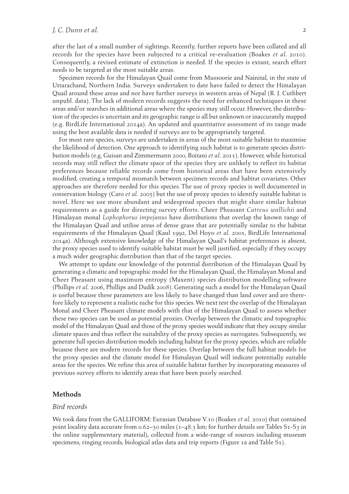after the last of a small number of sightings. Recently, further reports have been collated and all records for the species have been subjected to a critical re-evaluation (Boakes *et al.* 2010). Consequently, a revised estimate of extinction is needed. If the species is extant, search effort needs to be targeted at the most suitable areas.

 Specimen records for the Himalayan Quail come from Mussoorie and Nainital, in the state of Uttarachand, Northern India. Surveys undertaken to date have failed to detect the Himalayan Quail around these areas and nor have further surveys in western areas of Nepal (R. J. Cuthbert unpubl. data). The lack of modern records suggests the need for enhanced techniques in these areas and/or searches in additional areas where the species may still occur. However, the distribution of the species is uncertain and its geographic range is all but unknown or inaccurately mapped (e.g. BirdLife International 2014a ). An updated and quantitative assessment of its range made using the best available data is needed if surveys are to be appropriately targeted.

 For most rare species, surveys are undertaken in areas of the most suitable habitat to maximise the likelihood of detection. One approach to identifying such habitat is to generate species distribution models (e.g. Guisan and Zimmermann 2000 , Boitani *et al.* 2011 ). However, while historical records may still reflect the climate space of the species they are unlikely to reflect its habitat preferences because reliable records come from historical areas that have been extensively modified, creating a temporal mismatch between specimen records and habitat covariates. Other approaches are therefore needed for this species. The use of proxy species is well documented in conservation biology (Caro *et al.* 2005 ) but the use of proxy species to identify suitable habitat is novel. Here we use more abundant and widespread species that might share similar habitat requirements as a guide for directing survey efforts. Cheer Pheasant *Catreus wallichii* and Himalayan monal *Lophophorus impejanus* have distributions that overlap the known range of the Himalayan Quail and utilise areas of dense grass that are potentially similar to the habitat requirements of the Himalayan Quail (Kaul 1992, Del Hoyo *et al.* 2001, BirdLife International 2014a ). Although extensive knowledge of the Himalayan Quail's habitat preferences is absent, the proxy species used to identify suitable habitat must be well justified, especially if they occupy a much wider geographic distribution than that of the target species.

 We attempt to update our knowledge of the potential distribution of the Himalayan Quail by generating a climatic and topographic model for the Himalayan Quail, the Himalayan Monal and Cheer Pheasant using maximum entropy (Maxent) species distribution modelling software (Phillips et al. 2006, Phillips and Dudík 2008). Generating such a model for the Himalayan Quail is useful because these parameters are less likely to have changed than land cover and are therefore likely to represent a realistic niche for this species. We next test the overlap of the Himalayan Monal and Cheer Pheasant climate models with that of the Himalayan Quail to assess whether these two species can be used as potential proxies. Overlap between the climatic and topographic model of the Himalayan Quail and those of the proxy species would indicate that they occupy similar climate spaces and thus reflect the suitability of the proxy species as surrogates. Subsequently, we generate full species distribution models including habitat for the proxy species, which are reliable because there are modern records for these species. Overlap between the full habitat models for the proxy species and the climate model for Himalayan Quail will indicate potentially suitable areas for the species. We refine this area of suitable habitat further by incorporating measures of previous survey efforts to identify areas that have been poorly searched.

#### **Methods**

#### *Bird records*

We took data from the GALLIFORM: Eurasian Database V.10 (Boakes *et al.* 2010) that contained point locality data accurate from  $0.62 - 30$  miles  $(1 - 48.3 \text{ km})$ ; for further details see Tables S1-S3 in the online supplementary material), collected from a wide-range of sources including museum specimens, ringing records, biological atlas data and trip reports ( Figure 1a and Table S1).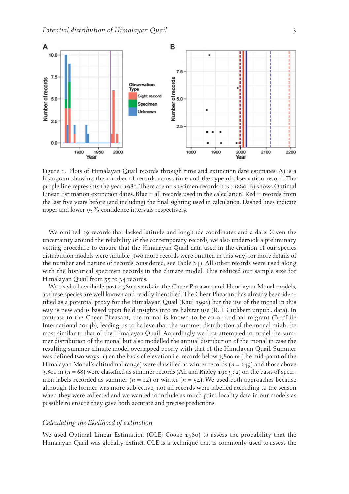

 Figure 1. Plots of Himalayan Quail records through time and extinction date estimates. A) is a histogram showing the number of records across time and the type of observation record. The purple line represents the year 1980. There are no specimen records post-1880. B) shows Optimal Linear Estimation extinction dates. Blue = all records used in the calculation. Red = records from the last five years before (and including) the final sighting used in calculation. Dashed lines indicate upper and lower 95% confidence intervals respectively.

 We omitted 19 records that lacked latitude and longitude coordinates and a date. Given the uncertainty around the reliability of the contemporary records, we also undertook a preliminary vetting procedure to ensure that the Himalayan Quail data used in the creation of our species distribution models were suitable (two more records were omitted in this way; for more details of the number and nature of records considered, see Table S4). All other records were used along with the historical specimen records in the climate model. This reduced our sample size for Himalayan Quail from 55 to 34 records.

 We used all available post-1980 records in the Cheer Pheasant and Himalayan Monal models, as these species are well known and readily identified. The Cheer Pheasant has already been identified as a potential proxy for the Himalayan Quail (Kaul 1992) but the use of the monal in this way is new and is based upon field insights into its habitat use (R. J. Cuthbert unpubl. data). In contrast to the Cheer Pheasant, the monal is known to be an altitudinal migrant (BirdLife International 2014b), leading us to believe that the summer distribution of the monal might be most similar to that of the Himalayan Quail. Accordingly we first attempted to model the summer distribution of the monal but also modelled the annual distribution of the monal in case the resulting summer climate model overlapped poorly with that of the Himalayan Quail. Summer was defined two ways: 1) on the basis of elevation i.e. records below 3,800 m (the mid-point of the Himalayan Monal's altitudinal range) were classified as winter records ( *n* = 249) and those above  $3,800$  m ( $n = 68$ ) were classified as summer records (Ali and Ripley 1983); 2) on the basis of specimen labels recorded as summer  $(n = 12)$  or winter  $(n = 54)$ . We used both approaches because although the former was more subjective, not all records were labelled according to the season when they were collected and we wanted to include as much point locality data in our models as possible to ensure they gave both accurate and precise predictions.

#### *Calculating the likelihood of extinction*

We used Optimal Linear Estimation (OLE; Cooke 1980) to assess the probability that the Himalayan Quail was globally extinct. OLE is a technique that is commonly used to assess the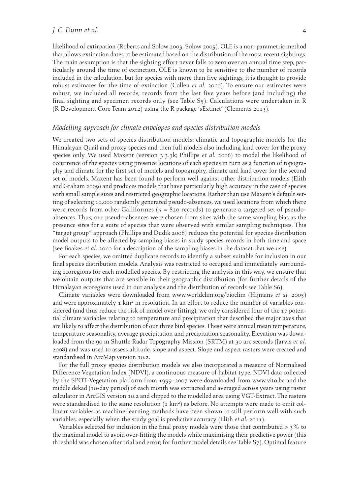#### *J. C. Dunn et al.* 4

likelihood of extirpation (Roberts and Solow 2003 , Solow 2005 ). OLE is a non-parametric method that allows extinction dates to be estimated based on the distribution of the most recent sightings. The main assumption is that the sighting effort never falls to zero over an annual time step, particularly around the time of extinction. OLE is known to be sensitive to the number of records included in the calculation, but for species with more than five sightings, it is thought to provide robust estimates for the time of extinction (Collen *et al.* 2010). To ensure our estimates were robust, we included all records, records from the last five years before (and including) the final sighting and specimen records only (see Table S5). Calculations were undertaken in R (R Development Core Team 2012) using the R package 'sExtinct' (Clements 2013).

#### *Modelling approach for climate envelopes and species distribution models*

 We created two sets of species distribution models: climatic and topographic models for the Himalayan Quail and proxy species and then full models also including land cover for the proxy species only. We used Maxent (version 3.3.3k; Phillips *et al.* 2006 ) to model the likelihood of occurrence of the species using presence locations of each species in turn as a function of topography and climate for the first set of models and topography, climate and land cover for the second set of models. Maxent has been found to perform well against other distribution models (Elith and Graham 2009 ) and produces models that have particularly high accuracy in the case of species with small sample sizes and restricted geographic locations. Rather than use Maxent's default setting of selecting 10,000 randomly generated pseudo-absences, we used locations from which there were records from other Galliformes ( $n = 820$  records) to generate a targeted set of pseudoabsences. Thus, our pseudo-absences were chosen from sites with the same sampling bias as the presence sites for a suite of species that were observed with similar sampling techniques. This "target group" approach (Phillips and Dudik 2008 ) reduces the potential for species distribution model outputs to be affected by sampling biases in study species records in both time and space (see Boakes *et al.* 2010 for a description of the sampling biases in the dataset that we use).

 For each species, we omitted duplicate records to identify a subset suitable for inclusion in our final species distribution models. Analysis was restricted to occupied and immediately surrounding ecoregions for each modelled species. By restricting the analysis in this way, we ensure that we obtain outputs that are sensible in their geographic distribution (for further details of the Himalayan ecoregions used in our analysis and the distribution of records see Table S6).

 Climate variables were downloaded from www.worldclim.org/bioclim (Hijmans *et al.* 2005 ) and were approximately  $\tau$  km<sup>2</sup> in resolution. In an effort to reduce the number of variables considered (and thus reduce the risk of model over-fitting), we only considered four of the 17 potential climate variables relating to temperature and precipitation that described the major axes that are likely to affect the distribution of our three bird species. These were annual mean temperature, temperature seasonality, average precipitation and precipitation seasonality. Elevation was downloaded from the 90 m Shuttle Radar Topography Mission (SRTM) at 30 arc seconds (Jarvis *et al.* 2008 ) and was used to assess altitude, slope and aspect. Slope and aspect rasters were created and standardised in ArcMap version 10.2.

 For the full proxy species distribution models we also incorporated a measure of Normalised Difference Vegetation Index (NDVI), a continuous measure of habitat type. NDVI data collected by the SPOT-Vegetation platform from 1999–2007 were downloaded from www.vito.be and the middle dekad (10-day period) of each month was extracted and averaged across years using raster calculator in ArcGIS version 10.2 and clipped to the modelled area using VGT-Extract. The rasters were standardised to the same resolution  $(\text{1 km}^2)$  as before. No attempts were made to omit collinear variables as machine learning methods have been shown to still perform well with such variables, especially when the study goal is predictive accuracy (Elith *et al.* 2011 ).

Variables selected for inclusion in the final proxy models were those that contributed  $>$  3% to the maximal model to avoid over-fitting the models while maximising their predictive power (this threshold was chosen after trial and error; for further model details see Table S7). Optimal feature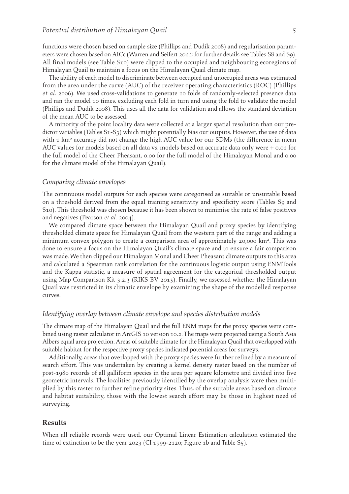functions were chosen based on sample size (Phillips and Dudík 2008) and regularisation parameters were chosen based on AICc (Warren and Seifert 2011 ; for further details see Tables S8 and S9). All final models (see Table S10) were clipped to the occupied and neighbouring ecoregions of Himalayan Quail to maintain a focus on the Himalayan Quail climate map.

 The ability of each model to discriminate between occupied and unoccupied areas was estimated from the area under the curve (AUC) of the receiver operating characteristics (ROC) (Phillips et al. 2006). We used cross-validations to generate 10 folds of randomly-selected presence data and ran the model 10 times, excluding each fold in turn and using the fold to validate the model (Phillips and Dudík 2008). This uses all the data for validation and allows the standard deviation of the mean AUC to be assessed.

 A minority of the point locality data were collected at a larger spatial resolution than our predictor variables (Tables S1-S3) which might potentially bias our outputs. However, the use of data with  $1 \text{ km}^2$  accuracy did not change the high AUC value for our SDMs (the difference in mean AUC values for models based on all data vs. models based on accurate data only were + 0.01 for the full model of the Cheer Pheasant, 0.00 for the full model of the Himalayan Monal and 0.00 for the climate model of the Himalayan Quail).

#### *Comparing climate envelopes*

 The continuous model outputs for each species were categorised as suitable or unsuitable based on a threshold derived from the equal training sensitivity and specificity score (Tables S9 and S10). This threshold was chosen because it has been shown to minimise the rate of false positives and negatives (Pearson *et al.* 2004 ).

 We compared climate space between the Himalayan Quail and proxy species by identifying thresholded climate space for Himalayan Quail from the western part of the range and adding a minimum convex polygon to create a comparison area of approximately 20,000 km<sup>2</sup>. This was done to ensure a focus on the Himalayan Quail's climate space and to ensure a fair comparison was made. We then clipped our Himalayan Monal and Cheer Pheasant climate outputs to this area and calculated a Spearman rank correlation for the continuous logistic output using ENMTools and the Kappa statistic, a measure of spatial agreement for the categorical thresholded output using Map Comparison Kit 3.2.3 (RIKS BV 2013 ). Finally, we assessed whether the Himalayan Quail was restricted in its climatic envelope by examining the shape of the modelled response curves.

#### *Identifying overlap between climate envelope and species distribution models*

 The climate map of the Himalayan Quail and the full ENM maps for the proxy species were combined using raster calculator in ArcGIS 10 version 10.2. The maps were projected using a South Asia Albers equal area projection. Areas of suitable climate for the Himalayan Quail that overlapped with suitable habitat for the respective proxy species indicated potential areas for surveys.

 Additionally, areas that overlapped with the proxy species were further refined by a measure of search effort. This was undertaken by creating a kernel density raster based on the number of post-1980 records of all galliform species in the area per square kilometre and divided into five geometric intervals. The localities previously identified by the overlap analysis were then multiplied by this raster to further refine priority sites. Thus, of the suitable areas based on climate and habitat suitability, those with the lowest search effort may be those in highest need of surveying.

#### **Results**

 When all reliable records were used, our Optimal Linear Estimation calculation estimated the time of extinction to be the year 2023 (CI 1999-2120; Figure 1b and Table S5).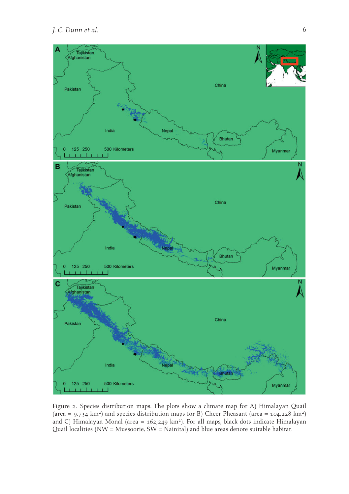

 Figure 2. Species distribution maps. The plots show a climate map for A) Himalayan Quail (area =  $9.734$  km<sup>2</sup>) and species distribution maps for B) Cheer Pheasant (area =  $104.228$  km<sup>2</sup>) and C) Himalayan Monal (area = 162,249 km<sup>2</sup>). For all maps, black dots indicate Himalayan Quail localities (NW = Mussoorie, SW = Nainital) and blue areas denote suitable habitat.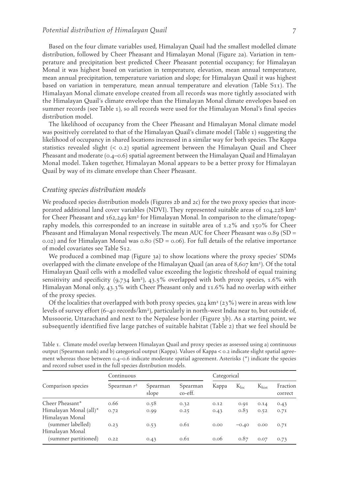Based on the four climate variables used, Himalayan Quail had the smallest modelled climate distribution, followed by Cheer Pheasant and Himalayan Monal (Figure 2a). Variation in temperature and precipitation best predicted Cheer Pheasant potential occupancy; for Himalayan Monal it was highest based on variation in temperature, elevation, mean annual temperature, mean annual precipitation, temperature variation and slope; for Himalayan Quail it was highest based on variation in temperature, mean annual temperature and elevation (Table S11). The Himalayan Monal climate envelope created from all records was more tightly associated with the Himalayan Quail's climate envelope than the Himalayan Monal climate envelopes based on summer records (see Table 1), so all records were used for the Himalayan Monal's final species distribution model.

 The likelihood of occupancy from the Cheer Pheasant and Himalayan Monal climate model was positively correlated to that of the Himalayan Quail's climate model (Table 1) suggesting the likelihood of occupancy in shared locations increased in a similar way for both species. The Kappa statistics revealed slight  $(< 0.2)$  spatial agreement between the Himalayan Quail and Cheer Pheasant and moderate (0.4–0.6) spatial agreement between the Himalayan Quail and Himalayan Monal model. Taken together, Himalayan Monal appears to be a better proxy for Himalayan Quail by way of its climate envelope than Cheer Pheasant.

#### *Creating species distribution models*

We produced species distribution models (Figures 2b and 2c) for the two proxy species that incorporated additional land cover variables (NDVI). They represented suitable areas of  $104,228 \text{ km}^2$ for Cheer Pheasant and 162,249 km<sup>2</sup> for Himalayan Monal. In comparison to the climate/topography models, this corresponded to an increase in suitable area of 1.2% and 150% for Cheer Pheasant and Himalayan Monal respectively. The mean AUC for Cheer Pheasant was 0.89 (SD  $=$ 0.02) and for Himalayan Monal was 0.80 (SD = 0.06). For full details of the relative importance of model covariates see Table S12.

We produced a combined map (Figure 3a) to show locations where the proxy species' SDMs overlapped with the climate envelope of the Himalayan Quail (an area of  $8,607 \text{ km}^2$ ). Of the total Himalayan Quail cells with a modelled value exceeding the logistic threshold of equal training sensitivity and specificity  $(9,734 \text{ km}^2)$ ,  $43.5\%$  overlapped with both proxy species, 1.6% with Himalayan Monal only, 43.3% with Cheer Pheasant only and 11.6% had no overlap with either of the proxy species.

Of the localities that overlapped with both proxy species, 924 km<sup>2</sup> (23%) were in areas with low levels of survey effort (6-40 records/km<sup>2</sup>), particularly in north-west India near to, but outside of, Mussoorie, Uttarachand and next to the Nepalese border ( Figure 3b ). As a starting point, we subsequently identified five large patches of suitable habitat (Table 2) that we feel should be

| and record subset used in the full species distribution models. |                |                   |                     |             |           |            |                     |  |
|-----------------------------------------------------------------|----------------|-------------------|---------------------|-------------|-----------|------------|---------------------|--|
| Comparison species                                              | Continuous     |                   |                     | Categorical |           |            |                     |  |
|                                                                 | Spearman $r^2$ | Spearman<br>slope | Spearman<br>co-eff. | Kappa       | $K_{loc}$ | $K_{hist}$ | Fraction<br>correct |  |
| Cheer Pheasant*                                                 | 0.66           | 0.58              | 0.32                | 0.12        | 0.91      | 0.14       | 0.43                |  |
| Himalayan Monal (all)*                                          | 0.72           | 0.99              | 0.25                | 0.43        | 0.83      | 0.52       | 0.71                |  |
| Himalayan Monal<br>(summer labelled)<br>Himalayan Monal         | 0.23           | 0.53              | 0.61                | 0.00        | $-0.40$   | 0.00       | 0.71                |  |
| (summer partitioned)                                            | 0.22           | 0.43              | 0.61                | 0.06        | 0.87      | 0.07       | 0.73                |  |

 Table 1. Climate model overlap between Himalayan Quail and proxy species as assessed using a) continuous output (Spearman rank) and b) categorical output (Kappa). Values of Kappa < 0.2 indicate slight spatial agreement whereas those between 0.4–0.6 indicate moderate spatial agreement. Asterisks (\*) indicate the species and cubset used in the full species distribution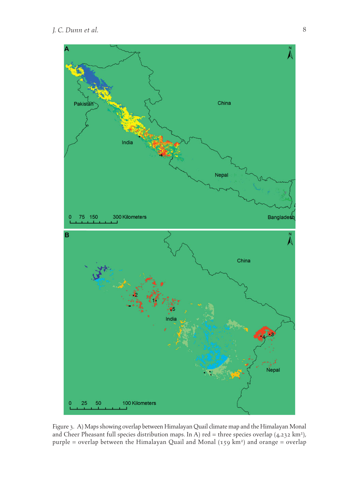

 Figure 3. A) Maps showing overlap between Himalayan Quail climate map and the Himalayan Monal and Cheer Pheasant full species distribution maps. In A) red = three species overlap  $(4,232 \text{ km}^2)$ , purple = overlap between the Himalayan Quail and Monal (159 km<sup>2</sup>) and orange = overlap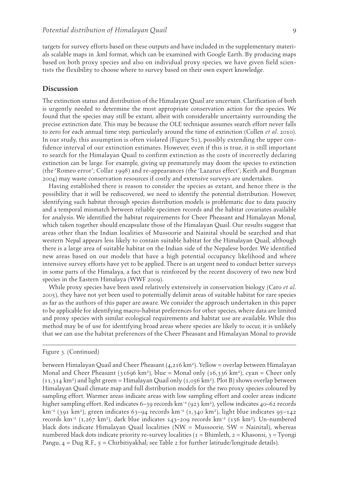targets for survey efforts based on these outputs and have included in the supplementary materials scalable maps in .kml format, which can be examined with Google Earth. By producing maps based on both proxy species and also on individual proxy species, we have given field scientists the flexibility to choose where to survey based on their own expert knowledge.

#### **Discussion**

 The extinction status and distribution of the Himalayan Quail are uncertain. Clarification of both is urgently needed to determine the most appropriate conservation action for the species. We found that the species may still be extant, albeit with considerable uncertainty surrounding the precise extinction date. This may be because the OLE technique assumes search effort never falls to zero for each annual time step, particularly around the time of extinction (Collen *et al.* 2010). In our study, this assumption is often violated (Figure S1), possibly extending the upper confidence interval of our extinction estimates. However, even if this is true, it is still important to search for the Himalayan Quail to confirm extinction as the costs of incorrectly declaring extinction can be large. For example, giving up prematurely may doom the species to extinction (the 'Romeo error'; Collar 1998 ) and re-appearances (the 'Lazarus effect'; Keith and Burgman 2004 ) may waste conservation resources if costly and extensive surveys are undertaken.

 Having established there is reason to consider the species as extant, and hence there is the possibility that it will be rediscovered, we need to identify the potential distribution. However, identifying such habitat through species distribution models is problematic due to data paucity and a temporal mismatch between reliable specimen records and the habitat covariates available for analysis. We identified the habitat requirements for Cheer Pheasant and Himalayan Monal, which taken together should encapsulate those of the Himalayan Quail. Our results suggest that areas other than the Indian localities of Mussoorie and Nainital should be searched and that western Nepal appears less likely to contain suitable habitat for the Himalayan Quail, although there is a large area of suitable habitat on the Indian side of the Nepalese border. We identified new areas based on our models that have a high potential occupancy likelihood and where intensive survey efforts have yet to be applied. There is an urgent need to conduct better surveys in some parts of the Himalaya, a fact that is reinforced by the recent discovery of two new bird species in the Eastern Himalaya (WWF 2009).

 While proxy species have been used relatively extensively in conservation biology (Caro *et al.* 2005 ), they have not yet been used to potentially delimit areas of suitable habitat for rare species as far as the authors of this paper are aware. We consider the approach undertaken in this paper to be applicable for identifying macro-habitat preferences for other species, where data are limited and proxy species with similar ecological requirements and habitat use are available. While this method may be of use for identifying broad areas where species are likely to occur, it is unlikely that we can use the habitat preferences of the Cheer Pheasant and Himalayan Monal to provide

#### Figure 3. (Continued)

between Himalayan Quail and Cheer Pheasant  $(4,216 \text{ km}^2)$ . Yellow = overlap between Himalayan Monal and Cheer Pheasant (31696 km<sup>2</sup>), blue = Monal only (16,336 km<sup>2</sup>), cyan = Cheer only  $(11,314 \text{ km}^2)$  and light green = Himalayan Quail only  $(1,0.056 \text{ km}^2)$ . Plot B) shows overlap between Himalayan Quail climate map and full distribution models for the two proxy species coloured by sampling effort. Warmer areas indicate areas with low sampling effort and cooler areas indicate higher sampling effort. Red indicates 6–39 records  $km<sup>-2</sup>$  (923 km<sup>2</sup>), yellow indicates 40–62 records km<sup>-2</sup> (391 km<sup>2</sup>), green indicates 63–94 records km<sup>-2</sup> (1,340 km<sup>2</sup>), light blue indicates 95–142 records km<sup>-2</sup> (1,267 km<sup>2</sup>), dark blue indicates 143–209 records km<sup>-2</sup> (156 km<sup>2</sup>). Un-numbered black dots indicate Himalayan Quail localities (NW = Mussoorie, SW = Nainital), whereas numbered black dots indicate priority re-survey localities ( $1 = \text{Bhimleth}, 2 = \text{Khasonsi}, 3 = \text{Tyongi}$ Pangu,  $4 = \text{Dug R.F.}$ ,  $5 = \text{Chirbitiyakhal}$ ; see Table 2 for further latitude/longitude details).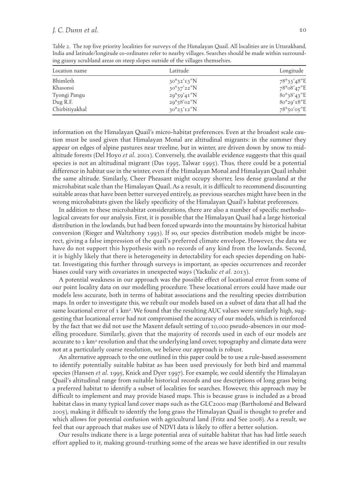|               |                                                                                | -India and latitude/longitude co-ordinates refer to nearby villages. Searches should be made within surround |
|---------------|--------------------------------------------------------------------------------|--------------------------------------------------------------------------------------------------------------|
|               | ing grassy scrubland areas on steep slopes outside of the villages themselves. |                                                                                                              |
| Location name | Lotitude                                                                       | Longitude                                                                                                    |

Table 2. The top five priority localities for surveys of the Himalayan Quail. All localities are in Uttarakhand,

| Location name  | Latitude             | Longitude            |  |
|----------------|----------------------|----------------------|--|
| Bhimleth       | $30^{\circ}32'13''N$ | 78°33'48"E           |  |
| Khasonsi       | $30^{\circ}37'22''N$ | 78°08'47"E           |  |
| Tyongi Pangu   | $29^{\circ}59'41''N$ | $80^{\circ}38'43''E$ |  |
| Dug R.F.       | $29^{\circ}58'02''N$ | 80°29'18"E           |  |
| Chirbitiyakhal | $30^{\circ}23'12''N$ | $78°$ 50'05"E        |  |

information on the Himalayan Quail's micro-habitat preferences. Even at the broadest scale caution must be used given that Himalayan Monal are altitudinal migrants: in the summer they appear on edges of alpine pastures near treeline, but in winter, are driven down by snow to midaltitude forests (Del Hoyo et al. 2001). Conversely, the available evidence suggests that this quail species is not an altitudinal migrant (Das 1995, Talwar 1995). Thus, there could be a potential difference in habitat use in the winter, even if the Himalayan Monal and Himalayan Quail inhabit the same altitude. Similarly, Cheer Pheasant might occupy shorter, less dense grassland at the microhabitat scale than the Himalayan Quail. As a result, it is difficult to recommend discounting suitable areas that have been better surveyed entirely, as previous searches might have been in the wrong microhabitats given the likely specificity of the Himalayan Quail's habitat preferences.

 In addition to these microhabitat considerations, there are also a number of specific methodological caveats for our analysis. First, it is possible that the Himalayan Quail had a large historical distribution in the lowlands, but had been forced upwards into the mountains by historical habitat conversion (Rieger and Waltzhony 1993 ). If so, our species distribution models might be incorrect, giving a false impression of the quail's preferred climate envelope. However, the data we have do not support this hypothesis with no records of any kind from the lowlands. Second, it is highly likely that there is heterogeneity in detectability for each species depending on habitat. Investigating this further through surveys is important, as species occurrences and recorder biases could vary with covariates in unexpected ways (Yackulic *et al.* 2013 ).

 A potential weakness in our approach was the possible effect of locational error from some of our point locality data on our modelling procedure. These locational errors could have made our models less accurate, both in terms of habitat associations and the resulting species distribution maps. In order to investigate this, we rebuilt our models based on a subset of data that all had the same locational error of  $\tau$  km<sup>2</sup>. We found that the resulting AUC values were similarly high, suggesting that locational error had not compromised the accuracy of our models, which is reinforced by the fact that we did not use the Maxent default setting of 10,000 pseudo-absences in our modelling procedure. Similarly, given that the majority of records used in each of our models are accurate to  $1 \text{ km}^2$  resolution and that the underlying land cover, topography and climate data were not at a particularly coarse resolution, we believe our approach is robust.

 An alternative approach to the one outlined in this paper could be to use a rule-based assessment to identify potentially suitable habitat as has been used previously for both bird and mammal species (Hansen et al. 1995, Knick and Dyer 1997). For example, we could identify the Himalayan Quail's altitudinal range from suitable historical records and use descriptions of long grass being a preferred habitat to identify a subset of localities for searches. However, this approach may be difficult to implement and may provide biased maps. This is because grass is included as a broad habitat class in many typical land cover maps such as the GLC2000 map (Bartholomé and Belward 2005 ), making it difficult to identify the long grass the Himalayan Quail is thought to prefer and which allows for potential confusion with agricultural land (Fritz and See 2008). As a result, we feel that our approach that makes use of NDVI data is likely to offer a better solution.

 Our results indicate there is a large potential area of suitable habitat that has had little search effort applied to it, making ground-truthing some of the areas we have identified in our results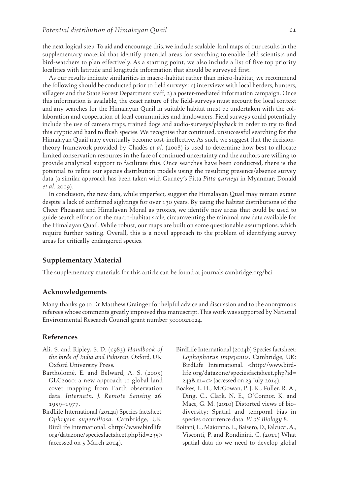the next logical step. To aid and encourage this, we include scalable .kml maps of our results in the supplementary material that identify potential areas for searching to enable field scientists and bird-watchers to plan effectively. As a starting point, we also include a list of five top priority localities with latitude and longitude information that should be surveyed first.

 As our results indicate similarities in macro-habitat rather than micro-habitat, we recommend the following should be conducted prior to field surveys: 1) interviews with local herders, hunters, villagers and the State Forest Department staff, 2) a poster-mediated information campaign. Once this information is available, the exact nature of the field-surveys must account for local context and any searches for the Himalayan Quail in suitable habitat must be undertaken with the collaboration and cooperation of local communities and landowners. Field surveys could potentially include the use of camera traps, trained dogs and audio-surveys/playback in order to try to find this cryptic and hard to flush species. We recognise that continued, unsuccessful searching for the Himalayan Quail may eventually become cost-ineffective. As such, we suggest that the decisiontheory framework provided by Chadès *et al.* ( 2008 ) is used to determine how best to allocate limited conservation resources in the face of continued uncertainty and the authors are willing to provide analytical support to facilitate this. Once searches have been conducted, there is the potential to refine our species distribution models using the resulting presence/absence survey data (a similar approach has been taken with Gurney's Pitta *Pitta gurneyi* in Myanmar; Donald *et al.* 2009).

 In conclusion, the new data, while imperfect, suggest the Himalayan Quail may remain extant despite a lack of confirmed sightings for over 130 years. By using the habitat distributions of the Cheer Pheasant and Himalayan Monal as proxies, we identify new areas that could be used to guide search efforts on the macro-habitat scale, circumventing the minimal raw data available for the Himalayan Quail. While robust, our maps are built on some questionable assumptions, which require further testing. Overall, this is a novel approach to the problem of identifying survey areas for critically endangered species.

#### **Supplementary Material**

The supplementary materials for this article can be found at journals.cambridge.org/bci

#### **Acknowledgements**

 Many thanks go to Dr Matthew Grainger for helpful advice and discussion and to the anonymous referees whose comments greatly improved this manuscript. This work was supported by National Environmental Research Council grant number 3000021024.

#### **References**

- Ali, S. and Ripley, S. D. (1983) *Handbook of the birds of India and Pakistan* . Oxford, UK : Oxford University Press.
- Bartholomé, E. and Belward, A. S. (2005) GLC2000: a new approach to global land cover mapping from Earth observation data. *Internatn. J. Remote Sensing* 26: 1959-1977.
- BirdLife International (2014a) Species factsheet: *Ophrysia superciliosa* . Cambridge, UK : BirdLife International . < http://www.birdlife. org/datazone/speciesfactsheet.php?id=235 > (accessed on 5 March 2014) .
- BirdLife International (2014b) Species factsheet: *Lophophorus impejanus* . Cambridge, UK : BirdLife International . < http://www.birdlife.org/datazone/speciesfactsheet.php?id=  $243$ &m=1> (accessed on 23 July 2014).
- Boakes, E. H., McGowan, P. J. K., Fuller, R. A., Ding, C., Clark, N. E., O'Connor, K. and Mace, G. M. (2010) Distorted views of biodiversity: Spatial and temporal bias in species occurrence data . *PLoS Biology* 8 .
- Boitani, L., Maiorano, L., Baisero, D., Falcucci, A., Visconti, P. and Rondinini, C. (2011) What spatial data do we need to develop global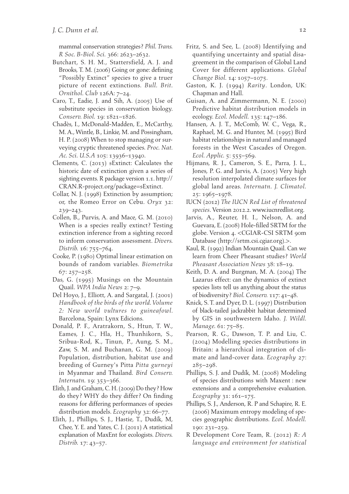mammal conservation strategies? *Phil. Trans. R Soc. B-Biol. Sci.* 366 : 2623 – 2632 .

- Butchart, S. H. M., Stattersfield, A. J. and Brooks, T. M. (2006) Going or gone: defining "Possibly Extinct" species to give a truer picture of recent extinctions . *Bull. Brit. Ornithol. Club* 126A: 7-24.
- Caro, T., Eadie, J. and Sih, A.  $(2005)$  Use of substitute species in conservation biology. Conserv. Biol. 19: 1821-1826.
- Chadès, I., McDonald-Madden, E., McCarthy, M. A., Wintle, B., Linkie, M. and Possingham, H. P. (2008) When to stop managing or surveying cryptic threatened species . *Proc. Nat. Ac. Sci. U.S.A* 105: 13936-13940.
- Clements, C. (2013) sExtinct: Calculates the historic date of extinction given a series of sighting events. R package version 1.1 . http:// CRAN.R-project.org/package=sExtinct .
- Collar, N. J. (1998) Extinction by assumption; or, the Romeo Error on Cebu. Oryx 32:  $239 - 243$ .
- Collen, B., Purvis, A. and Mace, G. M. (2010) When is a species really extinct? Testing extinction inference from a sighting record to inform conservation assessment . *Divers. Distrib.* 16: 755-764.
- Cooke, P. (1980) Optimal linear estimation on bounds of random variables . *Biometrika*  $67:257 - 258$ .
- Das, G. (1995) Musings on the Mountain Quail. *WPA India News* 2: 7-9.
- Del Hoyo, J., Elliott, A. and Sargatal, J. (2001) *Handbook of the birds of the world. Volume 2: New world vultures to guineafowl* . Barcelona, Spain: Lynx Edicions.
- Donald, P. F., Aratrakorn, S., Htun, T. W., Eames, J. C., Hla, H., Thunhikorn, S., Sribua-Rod, K., Tinun, P., Aung, S. M., Zaw, S. M. and Buchanan, G. M. (2009) Population, distribution, habitat use and breeding of Gurney's Pitta *Pitta gurneyi* in Myanmar and Thailand. *Bird Conserv*. *Internatn.* 19: 353-366.
- Elith, J. and Graham, C. H. (2009) Do they? How do they? WHY do they differ? On finding reasons for differing performances of species distribution models. *Ecography* 32: 66-77.
- Elith, J., Phillips, S. J., Hastie, T., Dudík, M. Chee, Y. E. and Yates, C. J. (2011) A statistical explanation of MaxEnt for ecologists . *Divers. Distrib.* 17: 43-57.
- Fritz, S. and See, L. (2008) Identifying and quantifying uncertainty and spatial disagreement in the comparison of Global Land Cover for different applications . *Global Change Biol.* 14: 1057-1075.
- Gaston, K. J. (1994) *Rarity*. London, UK: Chapman and Hall.
- Guisan, A. and Zimmermann, N. E. (2000) Predictive habitat distribution models in ecology. *Ecol. Modell.* 135: 147-186.
- Hansen, A. J. T., McComb, W. C., Vega, R., Raphael, M. G. and Hunter, M. (1995) Bird habitat relationships in natural and managed forests in the West Cascades of Oregon. *Ecol. Applic.* 5: 555–569.
- Hijmans, R. J., Cameron, S. E., Parra, J. L., Jones, P. G. and Jarvis, A. (2005) Very high resolution interpolated climate surfaces for global land areas . *Internatn. J. Climatol.* 25: 1965-1978.
- IUCN ( 2012 ) *The IUCN Red List of threatened species* . Version 2012.2 . www.iucnredlist.org .
- Jarvis, A., Reuter, H. I., Nelson, A. and Guevara, E. (2008) Hole-filled SRTM for the globe. Version 4. <CGIAR-CSI SRTM 90m Database (http://srtm.csi.cgiar.org).>.
- Kaul, R. (1992) Indian Mountain Quail. Can we learn from Cheer Pheasant studies? *World*  Pheasant Association News 38: 18-19.
- Keith, D. A. and Burgman, M. A. (2004) The Lazarus effect: can the dynamics of extinct species lists tell us anything about the status of biodiversity? *Biol. Conserv.* 117: 41-48.
- Knick, S. T. and Dyer, D. L. (1997) Distribution of black-tailed jackrabbit habitat determined by GIS in southwestern Idaho . *J. Wildl.*  Manage. 61: 75-85.
- Pearson, R. G., Dawson, T. P. and Liu, C. ( 2004 ) Modelling species distributions in Britain: a hierarchical integration of climate and land-cover data . *Ecography* 27 :  $285 - 298$ .
- Phillips, S. J. and Dudík, M. (2008) Modeling of species distributions with Maxent : new extensions and a comprehensive evaluation. *Ecography* 31: 161-175.
- Phillips, S. J., Anderson, R. P and Schapire, R. E. (2006) Maximum entropy modeling of species geographic distributions . *Ecol. Modell.* 190: 231-259.
- R Development Core Team, R . ( 2012 ) *R: A language and environment for statistical*